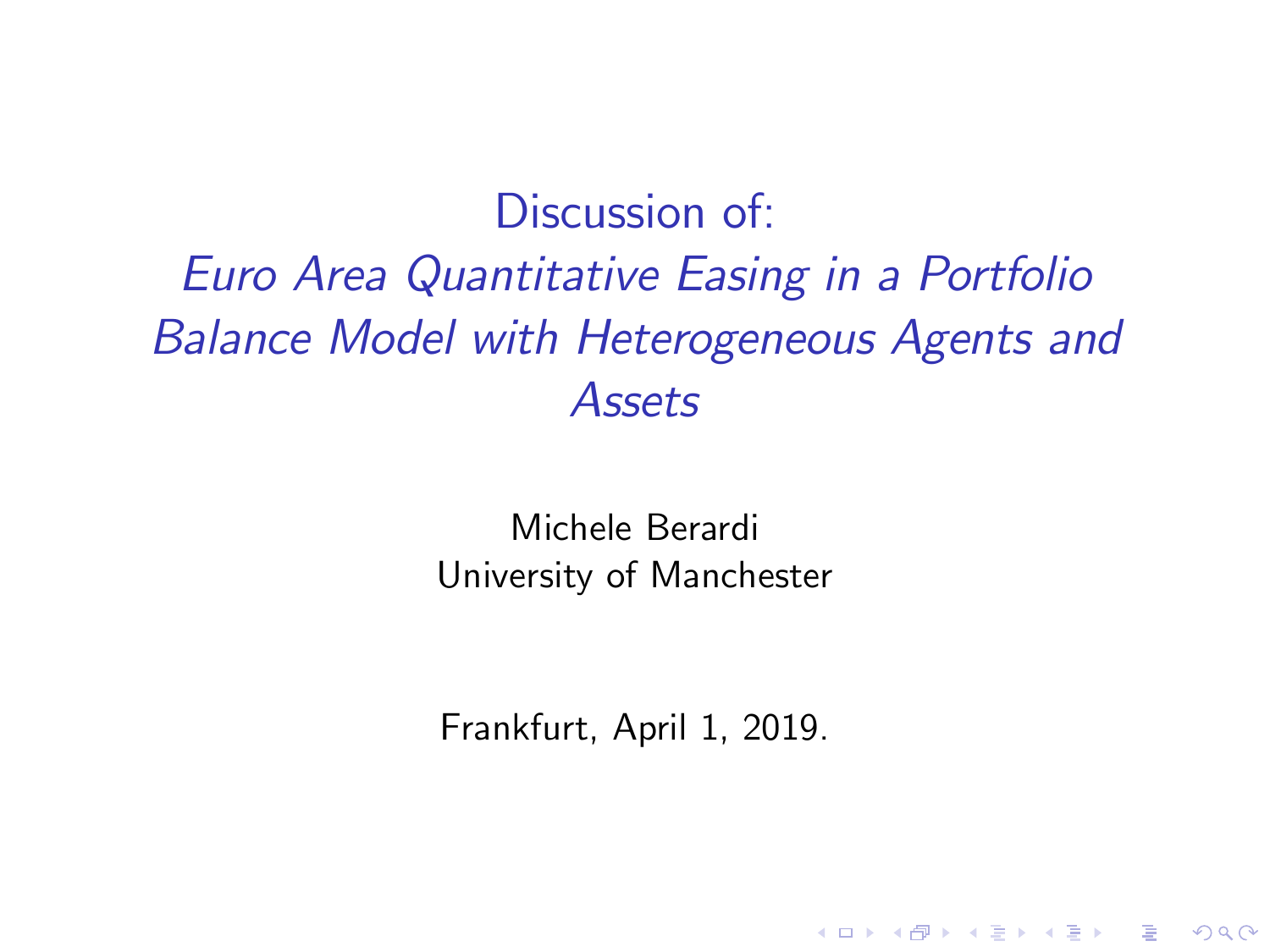Discussion of: Euro Area Quantitative Easing in a Portfolio Balance Model with Heterogeneous Agents and Assets

> Michele Berardi University of Manchester

Frankfurt, April 1, 2019.

**KORK ERKER ADE YOUR**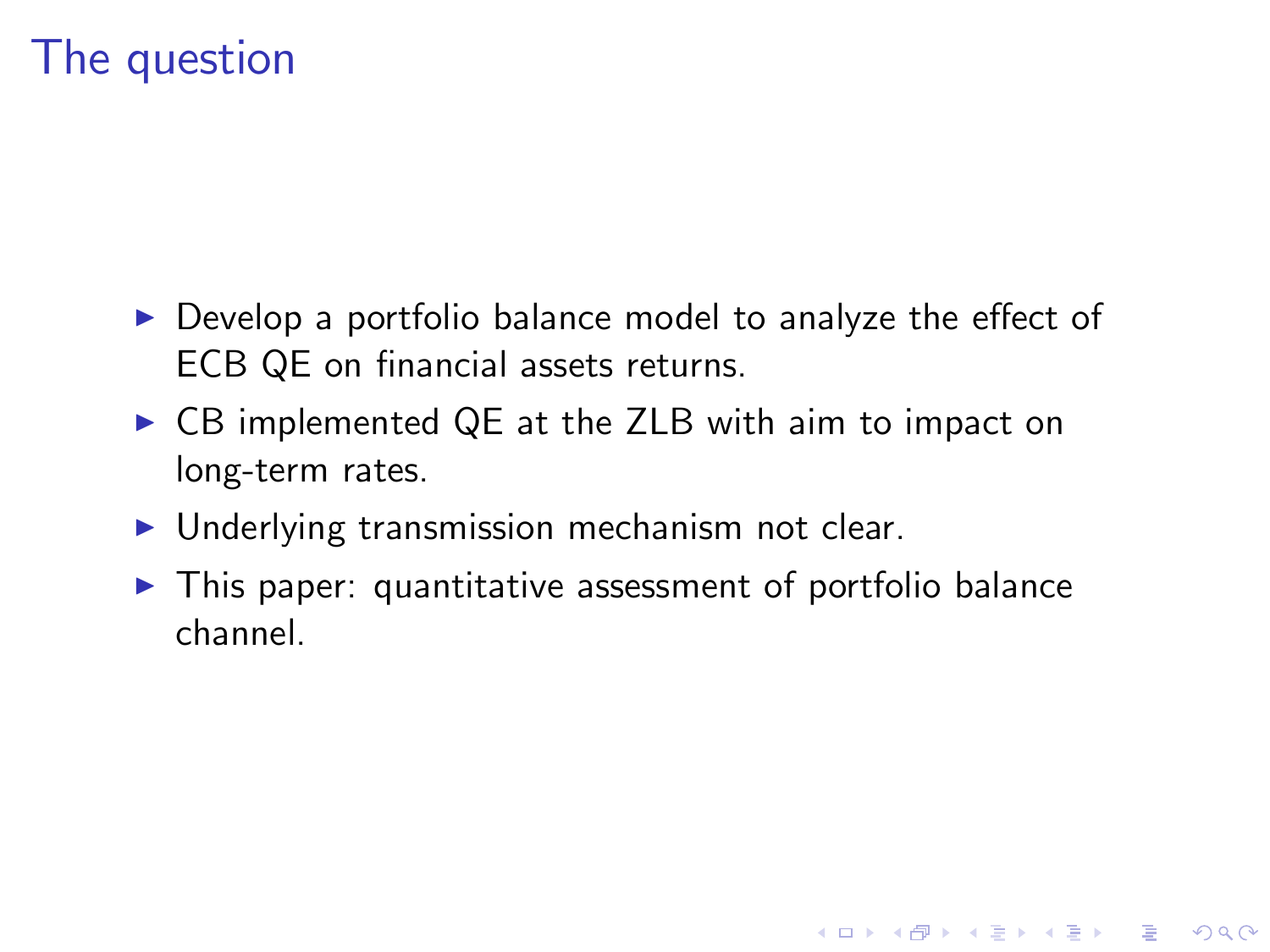### The question

- $\triangleright$  Develop a portfolio balance model to analyze the effect of ECB QE on financial assets returns.
- ▶ CB implemented QE at the ZLB with aim to impact on long-term rates.
- $\blacktriangleright$  Underlying transmission mechanism not clear.
- $\blacktriangleright$  This paper: quantitative assessment of portfolio balance channel.

**K ロ ▶ K @ ▶ K 할 X X 할 X → 할 X → 9 Q Q ^**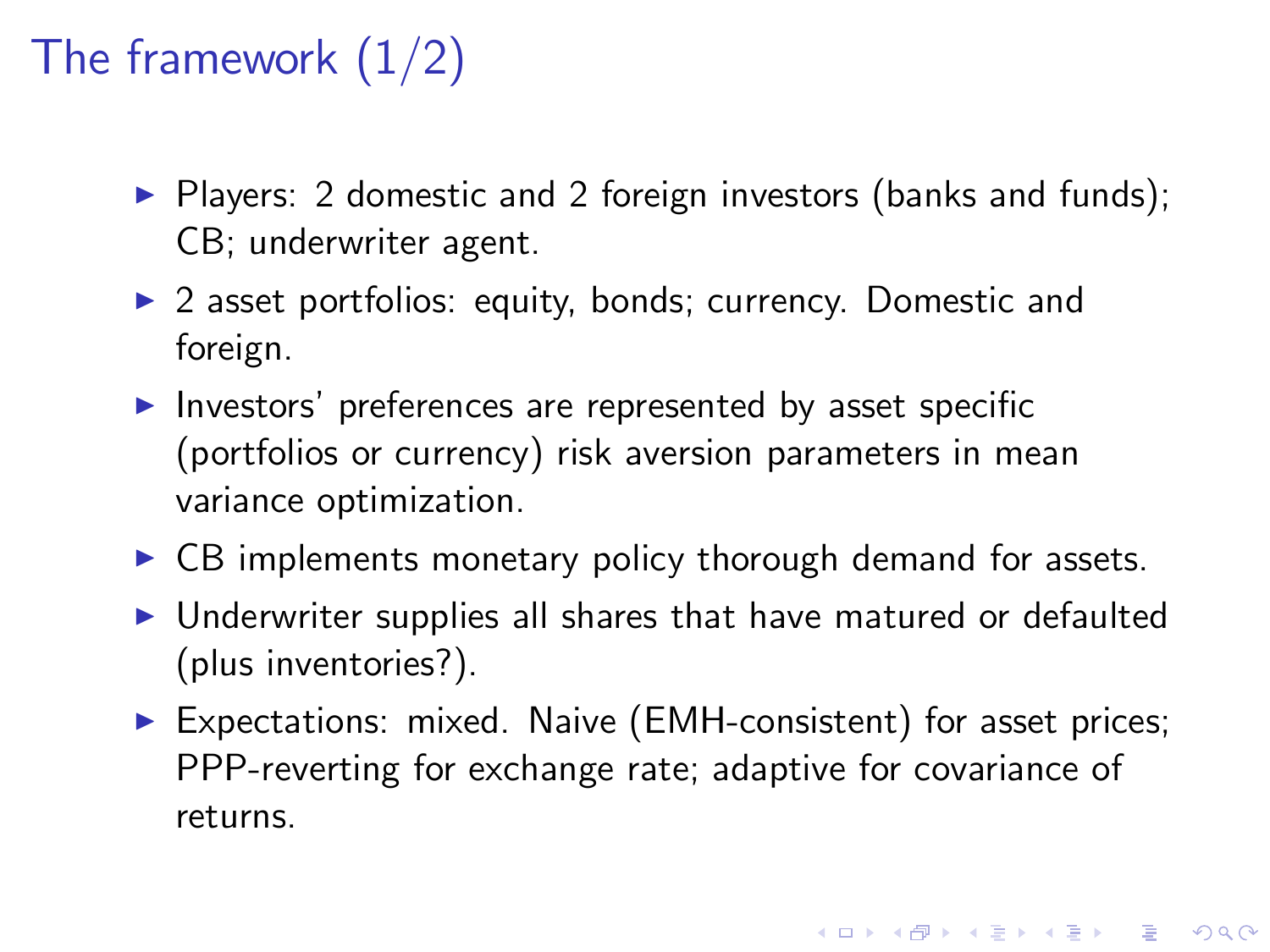## The framework  $(1/2)$

- $\triangleright$  Players: 2 domestic and 2 foreign investors (banks and funds); CB; underwriter agent.
- $\triangleright$  2 asset portfolios: equity, bonds; currency. Domestic and foreign.
- Investors' preferences are represented by asset specific (portfolios or currency) risk aversion parameters in mean variance optimization.
- $\triangleright$  CB implements monetary policy thorough demand for assets.
- $\triangleright$  Underwriter supplies all shares that have matured or defaulted (plus inventories?).
- ▶ Expectations: mixed. Naive (EMH-consistent) for asset prices; PPP-reverting for exchange rate; adaptive for covariance of returns.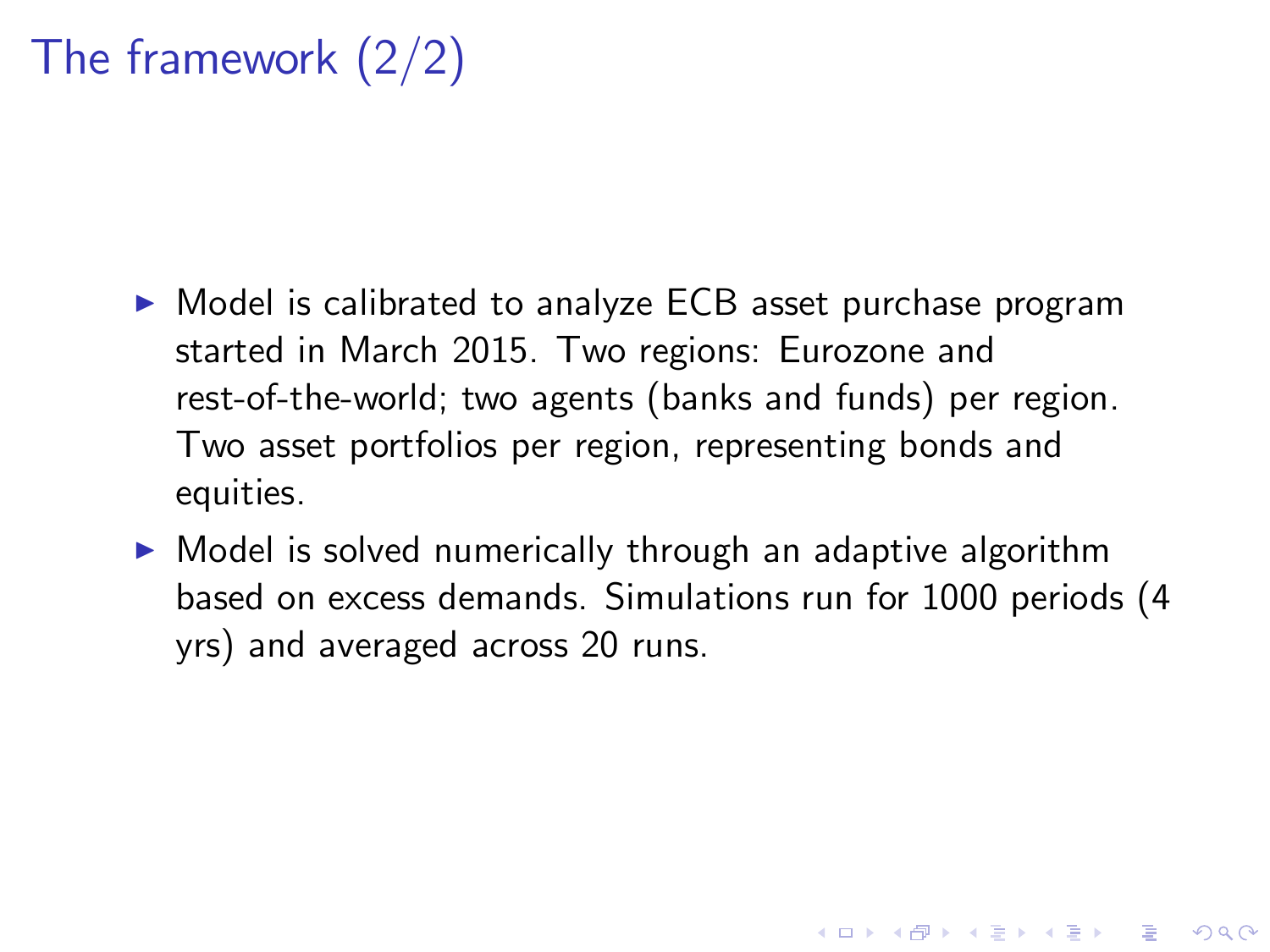## The framework (2/2)

- ▶ Model is calibrated to analyze ECB asset purchase program started in March 2015. Two regions: Eurozone and rest-of-the-world; two agents (banks and funds) per region. Two asset portfolios per region, representing bonds and equities.
- $\triangleright$  Model is solved numerically through an adaptive algorithm based on excess demands. Simulations run for 1000 periods (4 yrs) and averaged across 20 runs.

4 D > 4 P + 4 B + 4 B + B + 9 Q O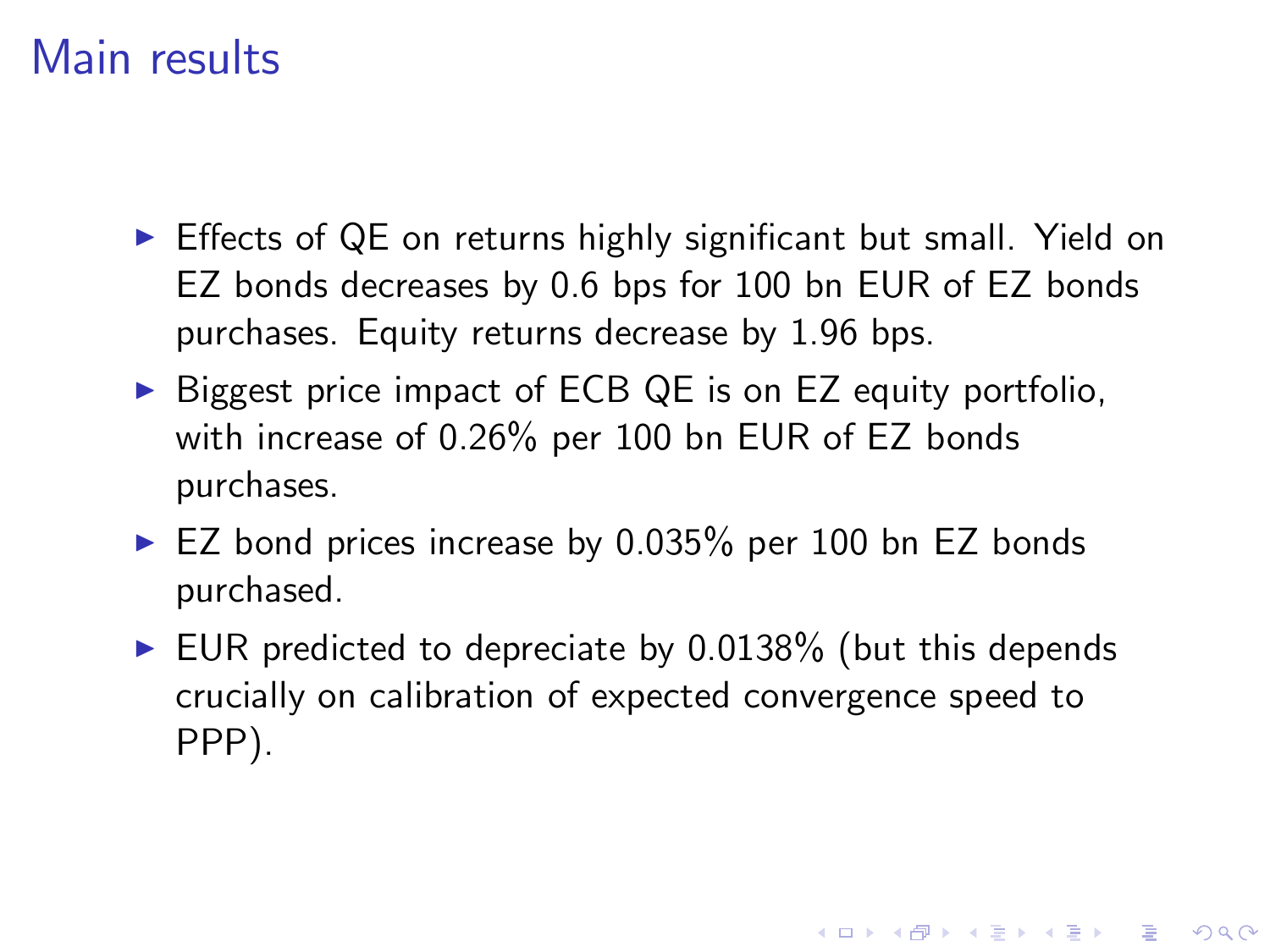#### Main results

- $\triangleright$  Effects of QE on returns highly significant but small. Yield on EZ bonds decreases by 0.6 bps for 100 bn EUR of EZ bonds purchases. Equity returns decrease by 1.96 bps.
- $\triangleright$  Biggest price impact of ECB QE is on EZ equity portfolio, with increase of 0.26% per 100 bn EUR of EZ bonds purchases.
- $\blacktriangleright$  EZ bond prices increase by 0.035% per 100 bn EZ bonds purchased.
- $\triangleright$  EUR predicted to depreciate by 0.0138% (but this depends crucially on calibration of expected convergence speed to PPP).

4 D > 4 P + 4 B + 4 B + B + 9 Q O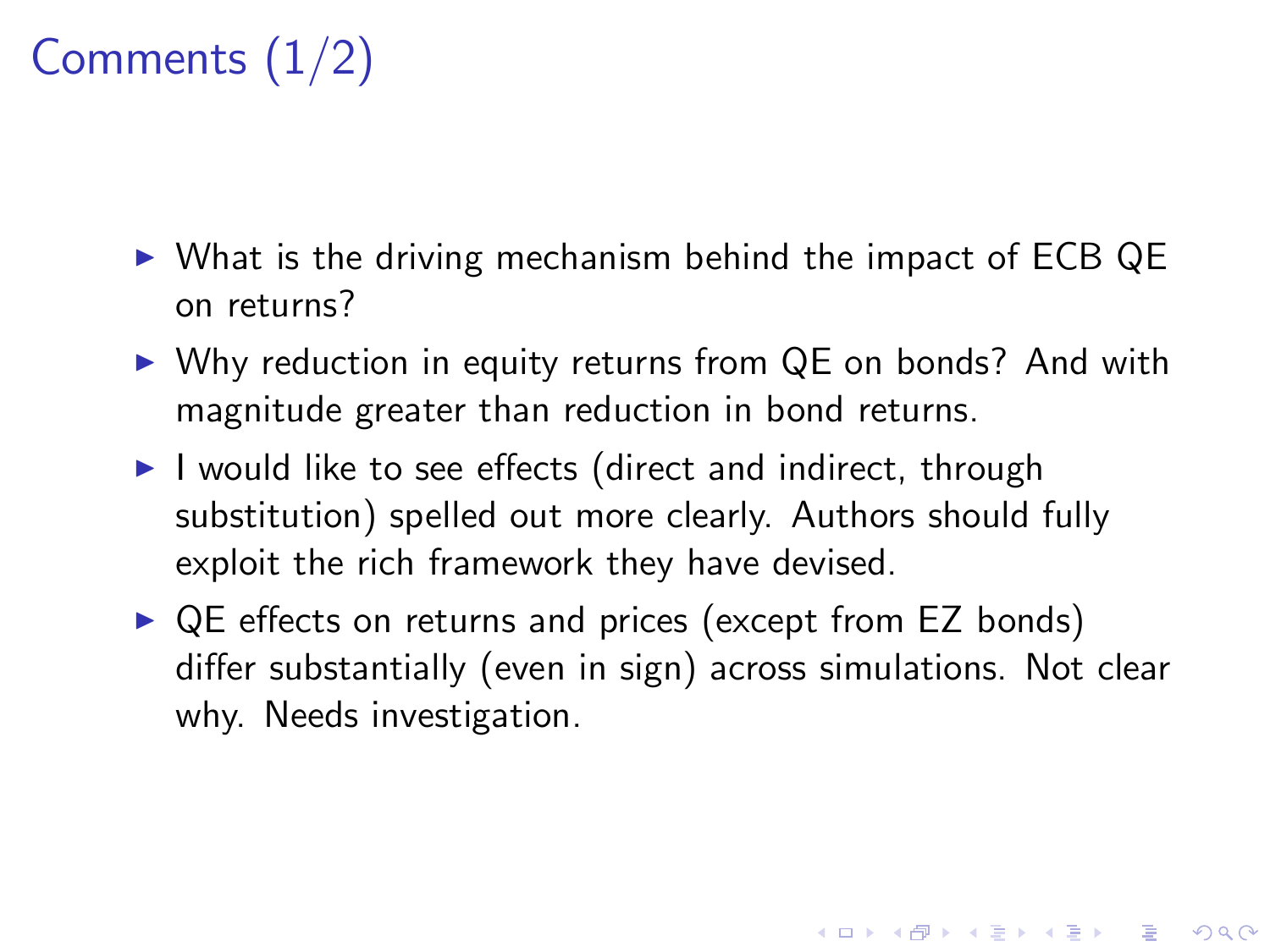# Comments (1/2)

- $\triangleright$  What is the driving mechanism behind the impact of ECB QE on returns?
- $\triangleright$  Why reduction in equity returns from QE on bonds? And with magnitude greater than reduction in bond returns.
- $\blacktriangleright$  I would like to see effects (direct and indirect, through substitution) spelled out more clearly. Authors should fully exploit the rich framework they have devised.
- $\triangleright$  QE effects on returns and prices (except from EZ bonds) differ substantially (even in sign) across simulations. Not clear why. Needs investigation.

**KORK (FRAGE) EL POLO**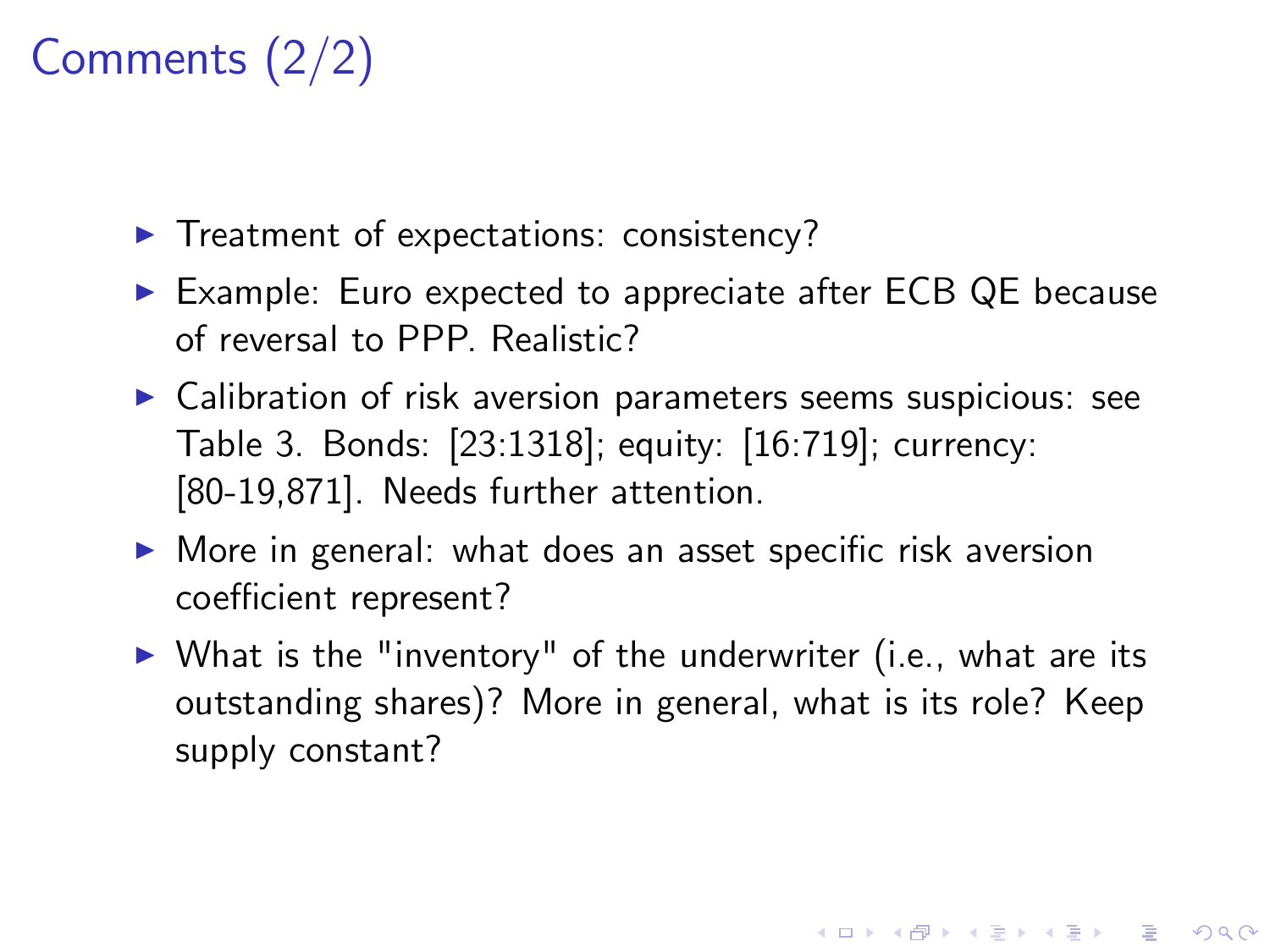# Comments (2/2)

- $\blacktriangleright$  Treatment of expectations: consistency?
- ▶ Example: Euro expected to appreciate after ECB QE because of reversal to PPP. Realistic?
- $\triangleright$  Calibration of risk aversion parameters seems suspicious: see Table 3. Bonds: [23:1318]; equity: [16:719]; currency: [80-19,871]. Needs further attention.
- $\triangleright$  More in general: what does an asset specific risk aversion coefficient represent?
- $\triangleright$  What is the "inventory" of the underwriter (i.e., what are its outstanding shares)? More in general, what is its role? Keep supply constant?

4 D > 4 P + 4 B + 4 B + B + 9 Q O